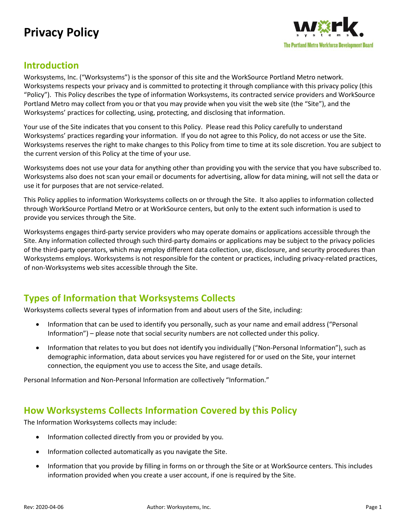# **Privacy Policy**



#### **Introduction**

Worksystems, Inc. ("Worksystems") is the sponsor of this site and the WorkSource Portland Metro network. Worksystems respects your privacy and is committed to protecting it through compliance with this privacy policy (this "Policy"). This Policy describes the type of information Worksystems, its contracted service providers and WorkSource Portland Metro may collect from you or that you may provide when you visit the web site (the "Site"), and the Worksystems' practices for collecting, using, protecting, and disclosing that information.

Your use of the Site indicates that you consent to this Policy. Please read this Policy carefully to understand Worksystems' practices regarding your information. If you do not agree to this Policy, do not access or use the Site. Worksystems reserves the right to make changes to this Policy from time to time at its sole discretion. You are subject to the current version of this Policy at the time of your use.

Worksystems does not use your data for anything other than providing you with the service that you have subscribed to. Worksystems also does not scan your email or documents for advertising, allow for data mining, will not sell the data or use it for purposes that are not service-related.

This Policy applies to information Worksystems collects on or through the Site. It also applies to information collected through WorkSource Portland Metro or at WorkSource centers, but only to the extent such information is used to provide you services through the Site.

Worksystems engages third-party service providers who may operate domains or applications accessible through the Site. Any information collected through such third-party domains or applications may be subject to the privacy policies of the third-party operators, which may employ different data collection, use, disclosure, and security procedures than Worksystems employs. Worksystems is not responsible for the content or practices, including privacy-related practices, of non-Worksystems web sites accessible through the Site.

## **Types of Information that Worksystems Collects**

Worksystems collects several types of information from and about users of the Site, including:

- Information that can be used to identify you personally, such as your name and email address ("Personal Information") – please note that social security numbers are not collected under this policy.
- Information that relates to you but does not identify you individually ("Non-Personal Information"), such as demographic information, data about services you have registered for or used on the Site, your internet connection, the equipment you use to access the Site, and usage details.

Personal Information and Non-Personal Information are collectively "Information."

### **How Worksystems Collects Information Covered by this Policy**

The Information Worksystems collects may include:

- Information collected directly from you or provided by you.
- Information collected automatically as you navigate the Site.
- Information that you provide by filling in forms on or through the Site or at WorkSource centers. This includes information provided when you create a user account, if one is required by the Site.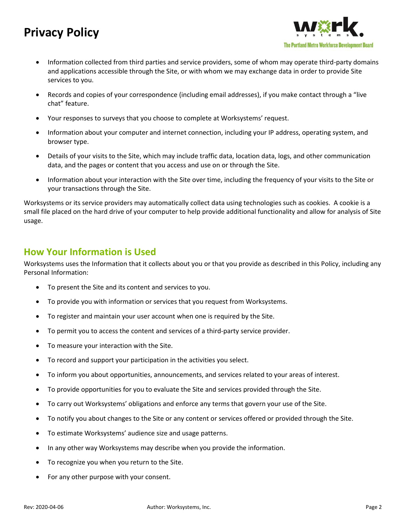## **Privacy Policy**



- Information collected from third parties and service providers, some of whom may operate third-party domains and applications accessible through the Site, or with whom we may exchange data in order to provide Site services to you.
- Records and copies of your correspondence (including email addresses), if you make contact through a "live chat" feature.
- Your responses to surveys that you choose to complete at Worksystems' request.
- Information about your computer and internet connection, including your IP address, operating system, and browser type.
- Details of your visits to the Site, which may include traffic data, location data, logs, and other communication data, and the pages or content that you access and use on or through the Site.
- Information about your interaction with the Site over time, including the frequency of your visits to the Site or your transactions through the Site.

Worksystems or its service providers may automatically collect data using technologies such as cookies. A cookie is a small file placed on the hard drive of your computer to help provide additional functionality and allow for analysis of Site usage.

#### **How Your Information is Used**

Worksystems uses the Information that it collects about you or that you provide as described in this Policy, including any Personal Information:

- To present the Site and its content and services to you.
- To provide you with information or services that you request from Worksystems.
- To register and maintain your user account when one is required by the Site.
- To permit you to access the content and services of a third-party service provider.
- To measure your interaction with the Site.
- To record and support your participation in the activities you select.
- To inform you about opportunities, announcements, and services related to your areas of interest.
- To provide opportunities for you to evaluate the Site and services provided through the Site.
- To carry out Worksystems' obligations and enforce any terms that govern your use of the Site.
- To notify you about changes to the Site or any content or services offered or provided through the Site.
- To estimate Worksystems' audience size and usage patterns.
- In any other way Worksystems may describe when you provide the information.
- To recognize you when you return to the Site.
- For any other purpose with your consent.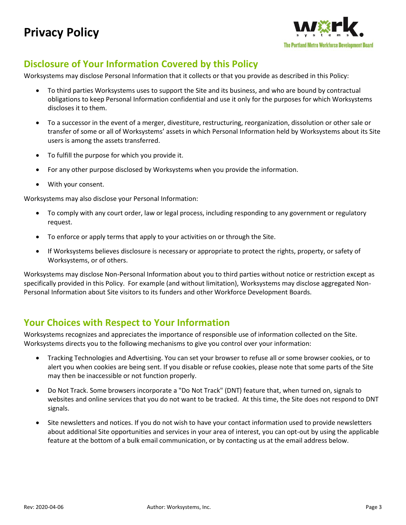

## **Disclosure of Your Information Covered by this Policy**

Worksystems may disclose Personal Information that it collects or that you provide as described in this Policy:

- To third parties Worksystems uses to support the Site and its business, and who are bound by contractual obligations to keep Personal Information confidential and use it only for the purposes for which Worksystems discloses it to them.
- To a successor in the event of a merger, divestiture, restructuring, reorganization, dissolution or other sale or transfer of some or all of Worksystems' assets in which Personal Information held by Worksystems about its Site users is among the assets transferred.
- To fulfill the purpose for which you provide it.
- For any other purpose disclosed by Worksystems when you provide the information.
- With your consent.

Worksystems may also disclose your Personal Information:

- To comply with any court order, law or legal process, including responding to any government or regulatory request.
- To enforce or apply terms that apply to your activities on or through the Site.
- If Worksystems believes disclosure is necessary or appropriate to protect the rights, property, or safety of Worksystems, or of others.

Worksystems may disclose Non-Personal Information about you to third parties without notice or restriction except as specifically provided in this Policy. For example (and without limitation), Worksystems may disclose aggregated Non-Personal Information about Site visitors to its funders and other Workforce Development Boards.

#### **Your Choices with Respect to Your Information**

Worksystems recognizes and appreciates the importance of responsible use of information collected on the Site. Worksystems directs you to the following mechanisms to give you control over your information:

- Tracking Technologies and Advertising. You can set your browser to refuse all or some browser cookies, or to alert you when cookies are being sent. If you disable or refuse cookies, please note that some parts of the Site may then be inaccessible or not function properly.
- Do Not Track. Some browsers incorporate a "Do Not Track" (DNT) feature that, when turned on, signals to websites and online services that you do not want to be tracked. At this time, the Site does not respond to DNT signals.
- Site newsletters and notices. If you do not wish to have your contact information used to provide newsletters about additional Site opportunities and services in your area of interest, you can opt-out by using the applicable feature at the bottom of a bulk email communication, or by contacting us at the email address below.